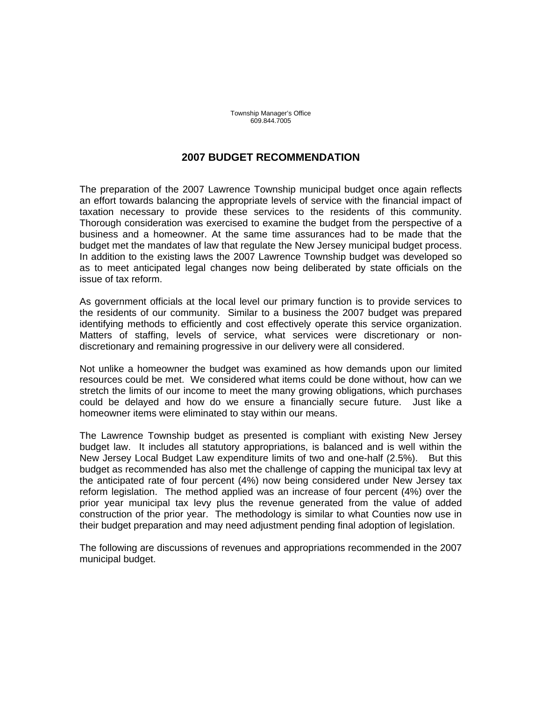Township Manager's Office 609.844.7005

## **2007 BUDGET RECOMMENDATION**

The preparation of the 2007 Lawrence Township municipal budget once again reflects an effort towards balancing the appropriate levels of service with the financial impact of taxation necessary to provide these services to the residents of this community. Thorough consideration was exercised to examine the budget from the perspective of a business and a homeowner. At the same time assurances had to be made that the budget met the mandates of law that regulate the New Jersey municipal budget process. In addition to the existing laws the 2007 Lawrence Township budget was developed so as to meet anticipated legal changes now being deliberated by state officials on the issue of tax reform.

As government officials at the local level our primary function is to provide services to the residents of our community. Similar to a business the 2007 budget was prepared identifying methods to efficiently and cost effectively operate this service organization. Matters of staffing, levels of service, what services were discretionary or nondiscretionary and remaining progressive in our delivery were all considered.

Not unlike a homeowner the budget was examined as how demands upon our limited resources could be met. We considered what items could be done without, how can we stretch the limits of our income to meet the many growing obligations, which purchases could be delayed and how do we ensure a financially secure future. Just like a homeowner items were eliminated to stay within our means.

The Lawrence Township budget as presented is compliant with existing New Jersey budget law. It includes all statutory appropriations, is balanced and is well within the New Jersey Local Budget Law expenditure limits of two and one-half (2.5%). But this budget as recommended has also met the challenge of capping the municipal tax levy at the anticipated rate of four percent (4%) now being considered under New Jersey tax reform legislation. The method applied was an increase of four percent (4%) over the prior year municipal tax levy plus the revenue generated from the value of added construction of the prior year. The methodology is similar to what Counties now use in their budget preparation and may need adjustment pending final adoption of legislation.

The following are discussions of revenues and appropriations recommended in the 2007 municipal budget.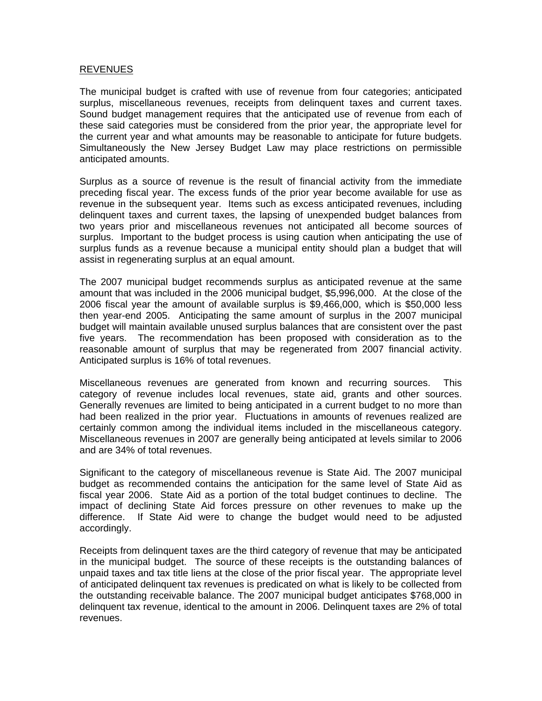## REVENUES

The municipal budget is crafted with use of revenue from four categories; anticipated surplus, miscellaneous revenues, receipts from delinquent taxes and current taxes. Sound budget management requires that the anticipated use of revenue from each of these said categories must be considered from the prior year, the appropriate level for the current year and what amounts may be reasonable to anticipate for future budgets. Simultaneously the New Jersey Budget Law may place restrictions on permissible anticipated amounts.

Surplus as a source of revenue is the result of financial activity from the immediate preceding fiscal year. The excess funds of the prior year become available for use as revenue in the subsequent year. Items such as excess anticipated revenues, including delinquent taxes and current taxes, the lapsing of unexpended budget balances from two years prior and miscellaneous revenues not anticipated all become sources of surplus. Important to the budget process is using caution when anticipating the use of surplus funds as a revenue because a municipal entity should plan a budget that will assist in regenerating surplus at an equal amount.

The 2007 municipal budget recommends surplus as anticipated revenue at the same amount that was included in the 2006 municipal budget, \$5,996,000. At the close of the 2006 fiscal year the amount of available surplus is \$9,466,000, which is \$50,000 less then year-end 2005. Anticipating the same amount of surplus in the 2007 municipal budget will maintain available unused surplus balances that are consistent over the past five years. The recommendation has been proposed with consideration as to the reasonable amount of surplus that may be regenerated from 2007 financial activity. Anticipated surplus is 16% of total revenues.

Miscellaneous revenues are generated from known and recurring sources. This category of revenue includes local revenues, state aid, grants and other sources. Generally revenues are limited to being anticipated in a current budget to no more than had been realized in the prior year. Fluctuations in amounts of revenues realized are certainly common among the individual items included in the miscellaneous category. Miscellaneous revenues in 2007 are generally being anticipated at levels similar to 2006 and are 34% of total revenues.

Significant to the category of miscellaneous revenue is State Aid. The 2007 municipal budget as recommended contains the anticipation for the same level of State Aid as fiscal year 2006. State Aid as a portion of the total budget continues to decline. The impact of declining State Aid forces pressure on other revenues to make up the difference. If State Aid were to change the budget would need to be adjusted accordingly.

Receipts from delinquent taxes are the third category of revenue that may be anticipated in the municipal budget. The source of these receipts is the outstanding balances of unpaid taxes and tax title liens at the close of the prior fiscal year. The appropriate level of anticipated delinquent tax revenues is predicated on what is likely to be collected from the outstanding receivable balance. The 2007 municipal budget anticipates \$768,000 in delinquent tax revenue, identical to the amount in 2006. Delinquent taxes are 2% of total revenues.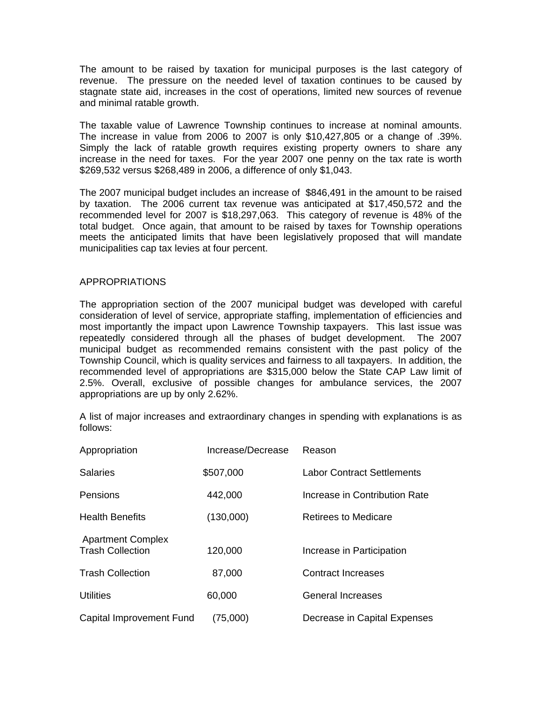The amount to be raised by taxation for municipal purposes is the last category of revenue. The pressure on the needed level of taxation continues to be caused by stagnate state aid, increases in the cost of operations, limited new sources of revenue and minimal ratable growth.

The taxable value of Lawrence Township continues to increase at nominal amounts. The increase in value from 2006 to 2007 is only \$10,427,805 or a change of .39%. Simply the lack of ratable growth requires existing property owners to share any increase in the need for taxes. For the year 2007 one penny on the tax rate is worth \$269,532 versus \$268,489 in 2006, a difference of only \$1,043.

The 2007 municipal budget includes an increase of \$846,491 in the amount to be raised by taxation. The 2006 current tax revenue was anticipated at \$17,450,572 and the recommended level for 2007 is \$18,297,063. This category of revenue is 48% of the total budget. Once again, that amount to be raised by taxes for Township operations meets the anticipated limits that have been legislatively proposed that will mandate municipalities cap tax levies at four percent.

## APPROPRIATIONS

The appropriation section of the 2007 municipal budget was developed with careful consideration of level of service, appropriate staffing, implementation of efficiencies and most importantly the impact upon Lawrence Township taxpayers. This last issue was repeatedly considered through all the phases of budget development. The 2007 municipal budget as recommended remains consistent with the past policy of the Township Council, which is quality services and fairness to all taxpayers. In addition, the recommended level of appropriations are \$315,000 below the State CAP Law limit of 2.5%. Overall, exclusive of possible changes for ambulance services, the 2007 appropriations are up by only 2.62%.

A list of major increases and extraordinary changes in spending with explanations is as follows:

| Appropriation                                       | Increase/Decrease | Reason                            |
|-----------------------------------------------------|-------------------|-----------------------------------|
| <b>Salaries</b>                                     | \$507,000         | <b>Labor Contract Settlements</b> |
| <b>Pensions</b>                                     | 442,000           | Increase in Contribution Rate     |
| <b>Health Benefits</b>                              | (130,000)         | <b>Retirees to Medicare</b>       |
| <b>Apartment Complex</b><br><b>Trash Collection</b> | 120,000           | Increase in Participation         |
| <b>Trash Collection</b>                             | 87,000            | <b>Contract Increases</b>         |
| <b>Utilities</b>                                    | 60,000            | <b>General Increases</b>          |
| Capital Improvement Fund                            | (75,000)          | Decrease in Capital Expenses      |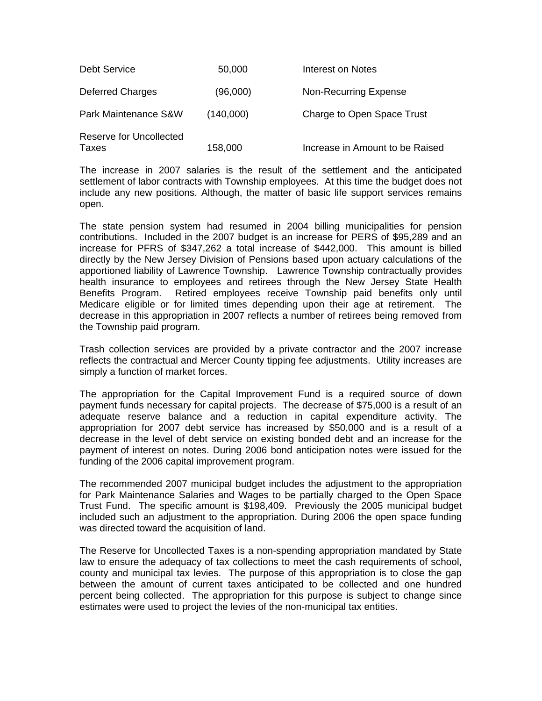| <b>Debt Service</b>                     | 50,000    | Interest on Notes               |
|-----------------------------------------|-----------|---------------------------------|
| <b>Deferred Charges</b>                 | (96,000)  | <b>Non-Recurring Expense</b>    |
| Park Maintenance S&W                    | (140,000) | Charge to Open Space Trust      |
| <b>Reserve for Uncollected</b><br>Taxes | 158,000   | Increase in Amount to be Raised |

The increase in 2007 salaries is the result of the settlement and the anticipated settlement of labor contracts with Township employees. At this time the budget does not include any new positions. Although, the matter of basic life support services remains open.

The state pension system had resumed in 2004 billing municipalities for pension contributions. Included in the 2007 budget is an increase for PERS of \$95,289 and an increase for PFRS of \$347,262 a total increase of \$442,000. This amount is billed directly by the New Jersey Division of Pensions based upon actuary calculations of the apportioned liability of Lawrence Township. Lawrence Township contractually provides health insurance to employees and retirees through the New Jersey State Health Benefits Program. Retired employees receive Township paid benefits only until Medicare eligible or for limited times depending upon their age at retirement. The decrease in this appropriation in 2007 reflects a number of retirees being removed from the Township paid program.

Trash collection services are provided by a private contractor and the 2007 increase reflects the contractual and Mercer County tipping fee adjustments. Utility increases are simply a function of market forces.

The appropriation for the Capital Improvement Fund is a required source of down payment funds necessary for capital projects. The decrease of \$75,000 is a result of an adequate reserve balance and a reduction in capital expenditure activity. The appropriation for 2007 debt service has increased by \$50,000 and is a result of a decrease in the level of debt service on existing bonded debt and an increase for the payment of interest on notes. During 2006 bond anticipation notes were issued for the funding of the 2006 capital improvement program.

The recommended 2007 municipal budget includes the adjustment to the appropriation for Park Maintenance Salaries and Wages to be partially charged to the Open Space Trust Fund. The specific amount is \$198,409. Previously the 2005 municipal budget included such an adjustment to the appropriation. During 2006 the open space funding was directed toward the acquisition of land.

The Reserve for Uncollected Taxes is a non-spending appropriation mandated by State law to ensure the adequacy of tax collections to meet the cash requirements of school, county and municipal tax levies. The purpose of this appropriation is to close the gap between the amount of current taxes anticipated to be collected and one hundred percent being collected. The appropriation for this purpose is subject to change since estimates were used to project the levies of the non-municipal tax entities.